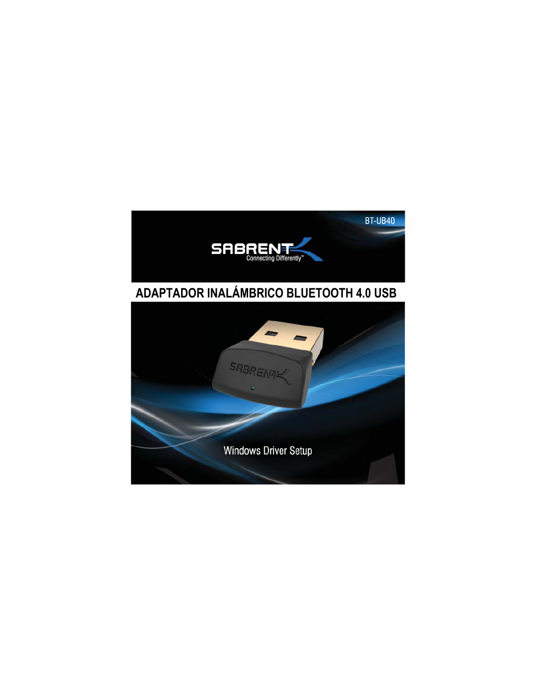

# **ADAPTADOR INALÁMBRICO BLUETOOTH 4.0 USB**

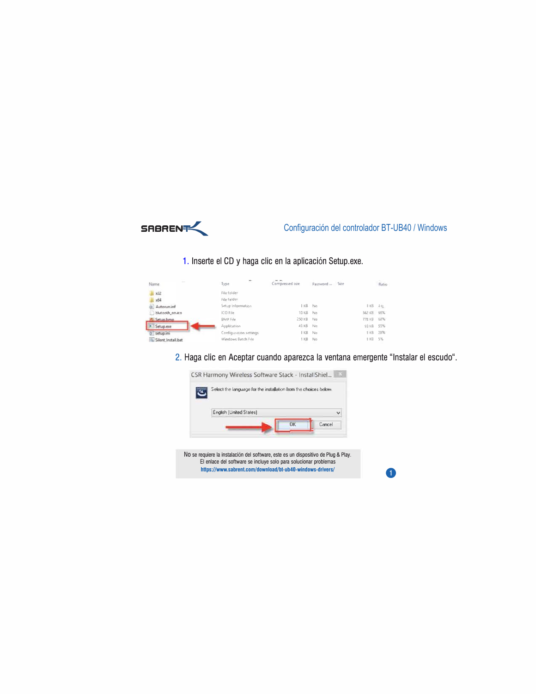

## 1. Inserte el CD y haga clic en la aplicación Setup.exe.

| $\sim$             | ×                      |                 |                  |        |       |
|--------------------|------------------------|-----------------|------------------|--------|-------|
| Name               | Type                   | Compressed size | Size<br>Password |        | Ratio |
| x32                | File folder            |                 |                  |        |       |
| <b>x64</b>         | File folder            |                 |                  |        |       |
| Autorun.inf        | Setup Information      | I KB No         |                  | I KB   | 4%    |
| blutooth_on.ico    | ICO File               | 10 KB           | No               | 362 KB | 95%   |
| Setun bmn          | <b>BMP File</b>        | 250 KB No       |                  | 77B KB | 68%   |
| Setup.exe          | Application            | 43 KB No        |                  | 93 KB  | 55%   |
| setup.ini          | Configuration settings | I KB            | No               | $1$ KB | 28%   |
| Silent Install.bat | Windows Batch File     | 1 KB            | No               | 1KB    | 5%    |

2. Haga clic en Aceptar cuando aparezca la ventana emergente "Instalar el escudo".

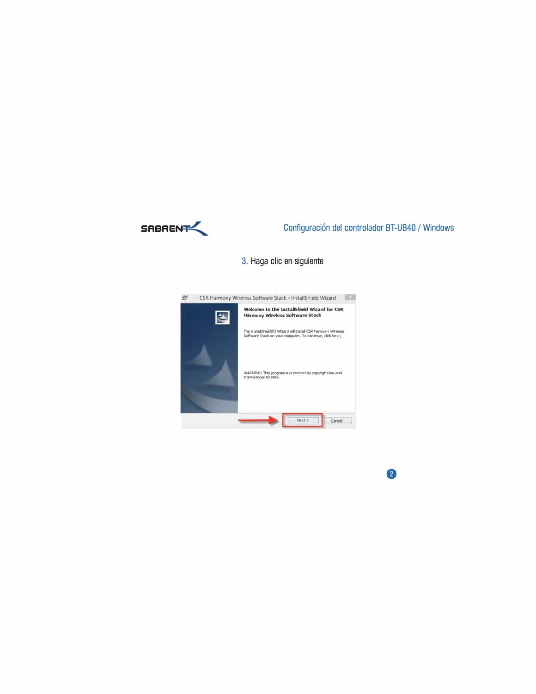

 $\bullet$ 

## 3. Haga clic en siguiente

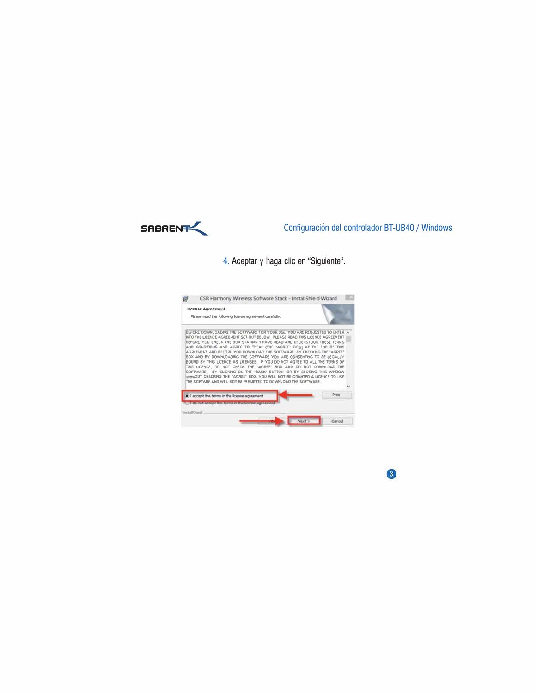

4. Aceptar y haga clic en "Siguiente".



 $\circled{3}$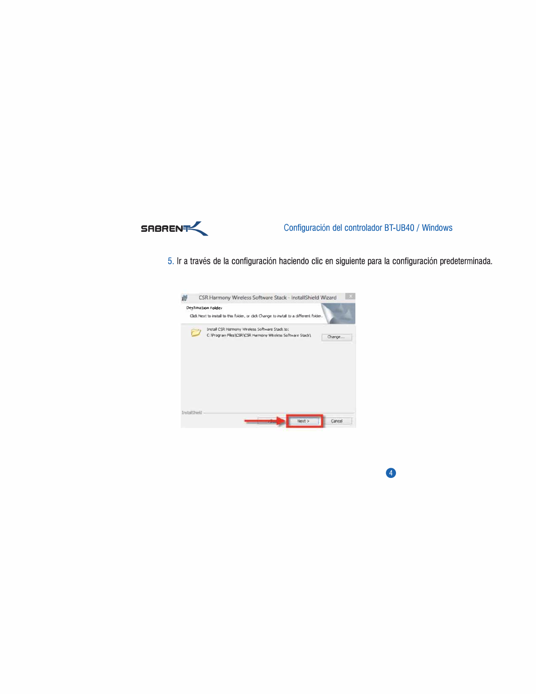

 $\bullet$ 

5. Ir a través de la configuración haciendo clic en siguiente para la configuración predeterminada.

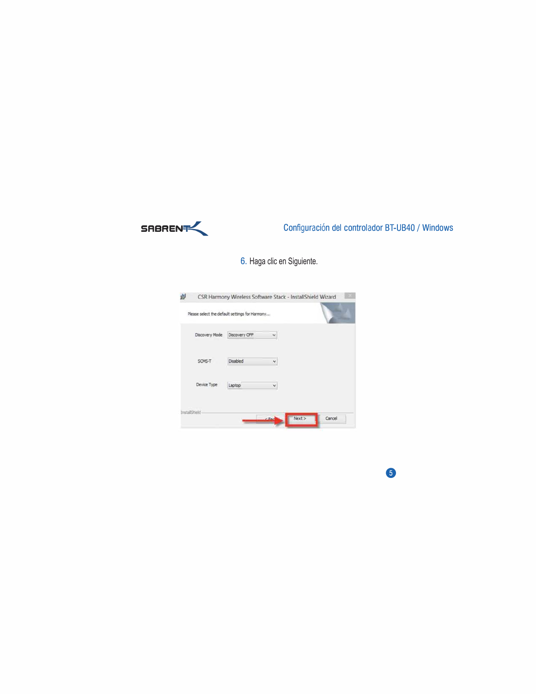

6

6. Haga clic en Siguiente.

| Discovery Mode | Discovery OFF | ٧ |  |
|----------------|---------------|---|--|
| SCMS-T         | Disabled      | ٧ |  |
| Device Type    | Laptop        | × |  |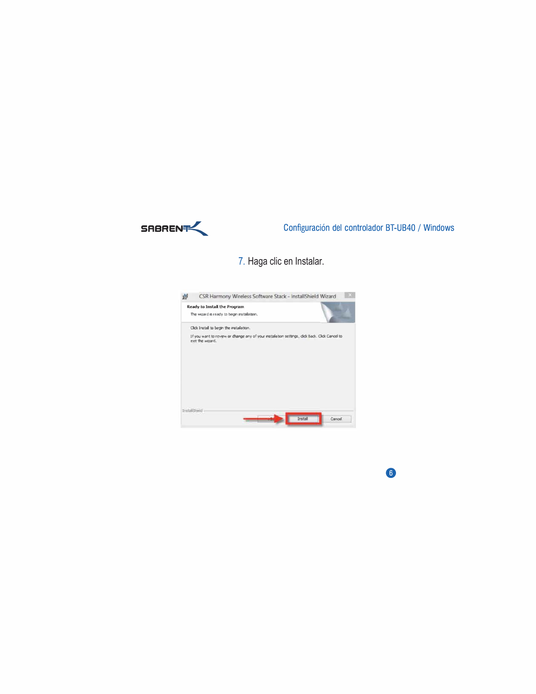

6

7. Haga clic en Instalar.

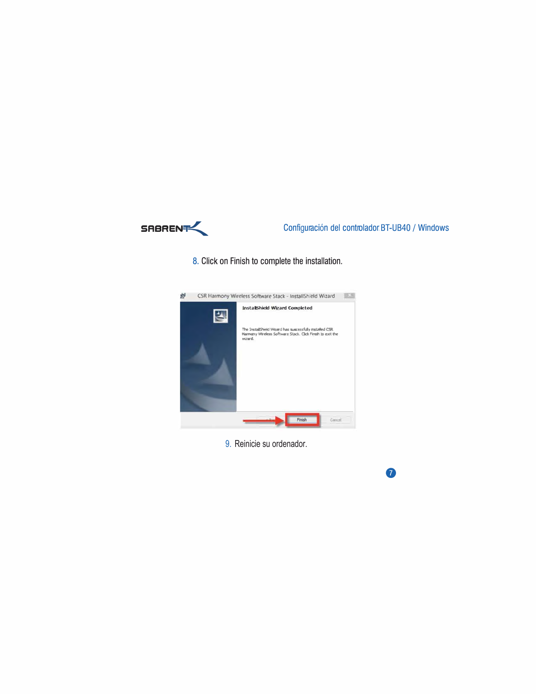

 $\bullet$ 

8. Click on Finish to complete the installation.



9. Reinicie su ordenador.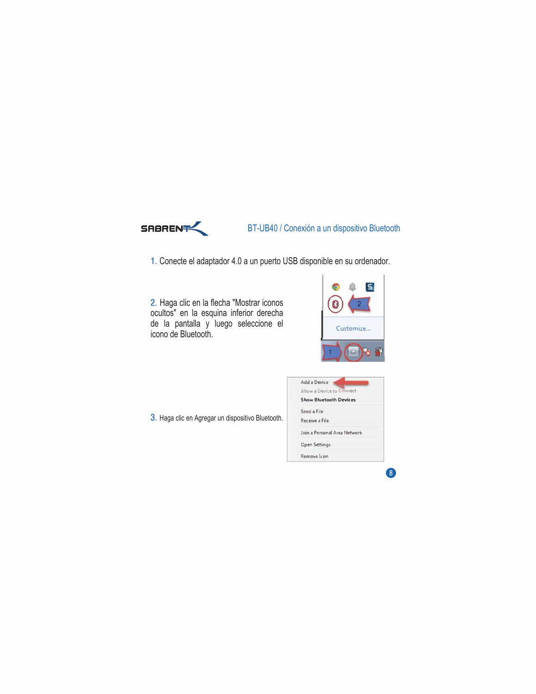

## **SRBRENFINGEREN BT-UB40 / Conexión a un dispositivo Bluetooth**

1. Conecte el adaptador 4.0 a un puerto USB disponible en su ordenador.

2. Haga clic en la flecha "Mostrar iconos ocultos" en la esquina inferior derecha de la pantalla y luego seleccione el icono de Bluetooth.

| ₹         |
|-----------|
| Customize |
|           |

3. Haga clic en Agregar un dispositivo Bluetooth.

| Add a Device                  |
|-------------------------------|
| Allow a Device to Connect     |
| <b>Show Bluetoath Devices</b> |
| Send a File                   |
| Receive a File                |
| Join a Personal Area Network  |
| <b>Open Settings</b>          |
| Remove Icon                   |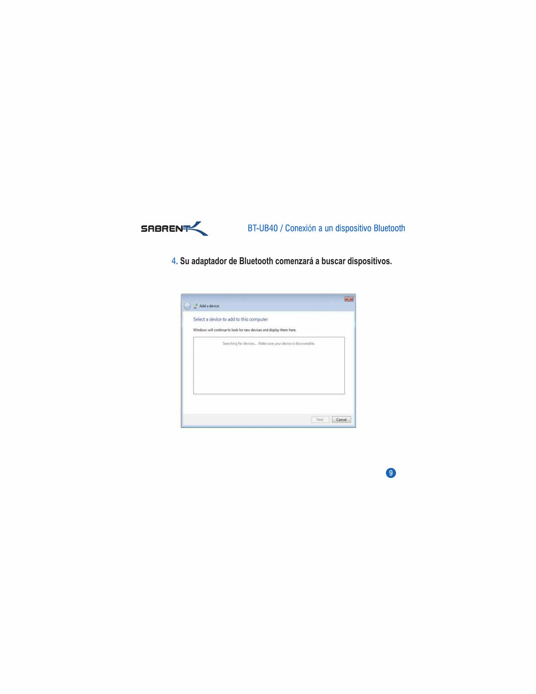

**SRBAENFLUB40 / Conexión a un dispositivo Bluetooth** 

**. Su adaptador de Bluetooth comenzará a buscar dispositivos.**

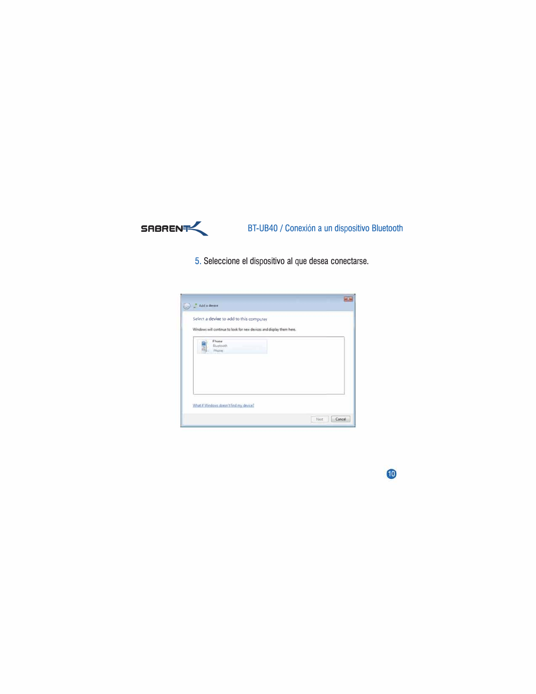

# BT-UB40 / Conexión a un dispositivo Bluetooth

5. Seleccione el dispositivo al que desea conectarse.



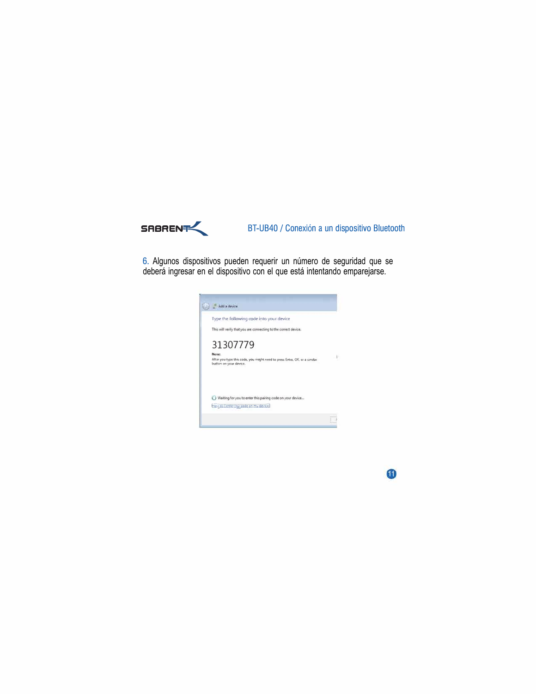

## BT-UB40 / Conexión a un dispositivo Bluetooth

6. Algunos dispositivos pueden requerir un número de seguridad que se deberá ingresar en el dispositivo con el que está intentando emparejarse.